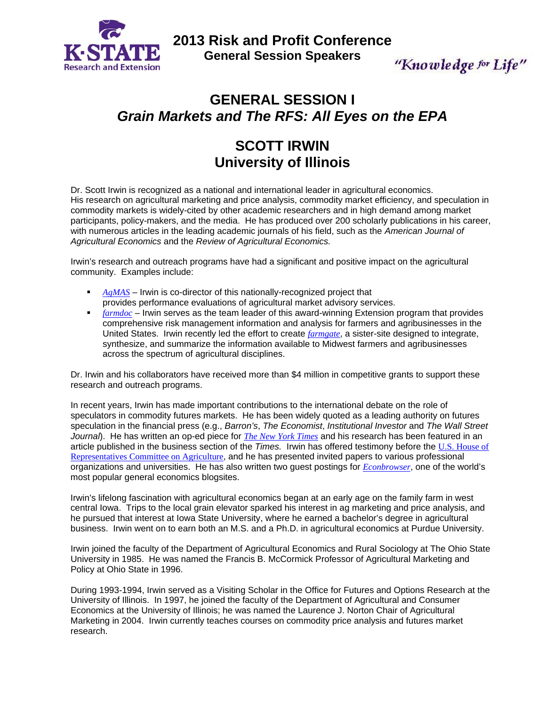

**2013 Risk and Profit Conference General Session Speakers** 

"Knowledge for Life"

# **GENERAL SESSION I**  *Grain Markets and The RFS: All Eyes on the EPA*

# **SCOTT IRWIN University of Illinois**

Dr. Scott Irwin is recognized as a national and international leader in agricultural economics. His research on agricultural marketing and price analysis, commodity market efficiency, and speculation in commodity markets is widely-cited by other academic researchers and in high demand among market participants, policy-makers, and the media. He has produced over 200 scholarly publications in his career, with numerous articles in the leading academic journals of his field, such as the *American Journal of Agricultural Economics* and the *Review of Agricultural Economics.*

Irwin's research and outreach programs have had a significant and positive impact on the agricultural community. Examples include:

- **AgMAS** Irwin is co-director of this nationally-recognized project that provides performance evaluations of agricultural market advisory services.
- **Farmdoc** Irwin serves as the team leader of this award-winning Extension program that provides comprehensive risk management information and analysis for farmers and agribusinesses in the United States. Irwin recently led the effort to create *farmgate*, a sister-site designed to integrate, synthesize, and summarize the information available to Midwest farmers and agribusinesses across the spectrum of agricultural disciplines.

Dr. Irwin and his collaborators have received more than \$4 million in competitive grants to support these research and outreach programs.

In recent years, Irwin has made important contributions to the international debate on the role of speculators in commodity futures markets. He has been widely quoted as a leading authority on futures speculation in the financial press (e.g., *Barron's*, *The Economist*, *Institutional Investor* and *The Wall Street Journal*). He has written an op-ed piece for *The New York Times* and his research has been featured in an article published in the business section of the *Times.* Irwin has offered testimony before the U.S. House of Representatives Committee on Agriculture, and he has presented invited papers to various professional organizations and universities. He has also written two guest postings for *Econbrowser*, one of the world's most popular general economics blogsites.

Irwin's lifelong fascination with agricultural economics began at an early age on the family farm in west central Iowa. Trips to the local grain elevator sparked his interest in ag marketing and price analysis, and he pursued that interest at Iowa State University, where he earned a bachelor's degree in agricultural business. Irwin went on to earn both an M.S. and a Ph.D. in agricultural economics at Purdue University.

Irwin joined the faculty of the Department of Agricultural Economics and Rural Sociology at The Ohio State University in 1985. He was named the Francis B. McCormick Professor of Agricultural Marketing and Policy at Ohio State in 1996.

During 1993-1994, Irwin served as a Visiting Scholar in the Office for Futures and Options Research at the University of Illinois. In 1997, he joined the faculty of the Department of Agricultural and Consumer Economics at the University of Illinois; he was named the Laurence J. Norton Chair of Agricultural Marketing in 2004. Irwin currently teaches courses on commodity price analysis and futures market research.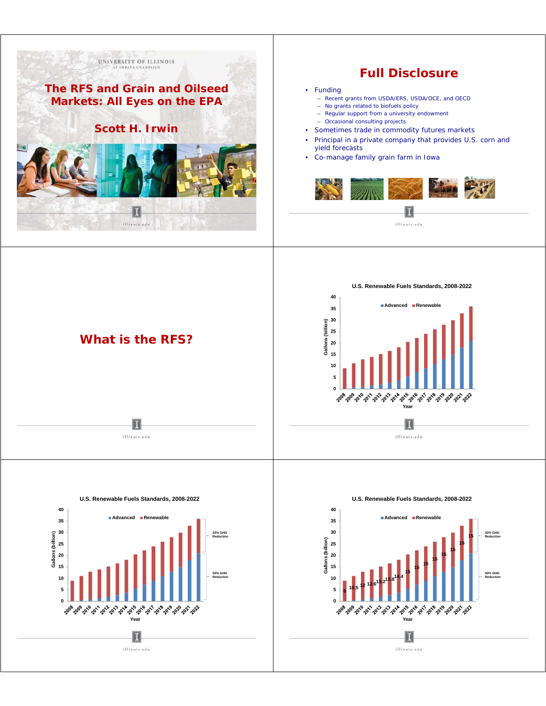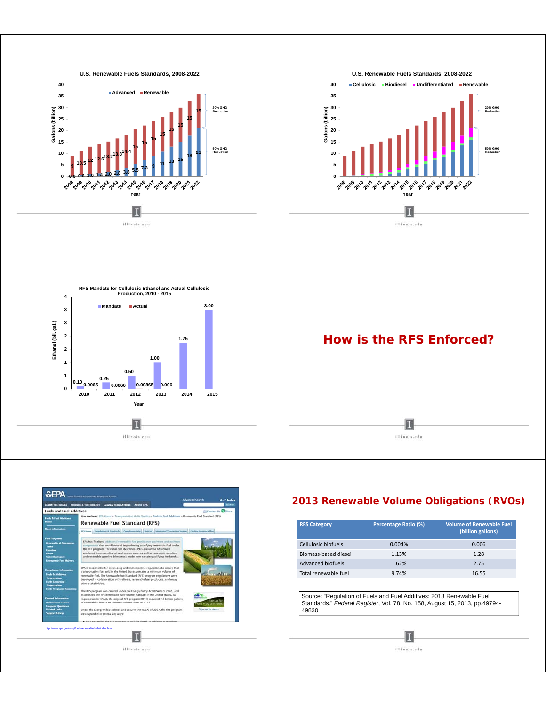



## *2013 Renewable Volume Obligations (RVOs)*

| <b>RFS Category</b>      | Percentage Ratio (%) | <b>Volume of Renewable Fuel</b><br>(billion gallons) |
|--------------------------|----------------------|------------------------------------------------------|
| Cellulosic biofuels      | 0.004%               | 0.006                                                |
| Biomass-based diesel     | 1.13%                | 1.28                                                 |
| <b>Advanced biofuels</b> | 1.62%                | 2.75                                                 |
| Total renewable fuel     | 9.74%                | 16.55                                                |

Source: "Regulation of Fuels and Fuel Additives: 2013 Renewable Fuel Standards." Federal Register, Vol. 78, No. 158, August 15, 2013, pp.49794-49830

 $\mathbf{I}$ 

illinois.edu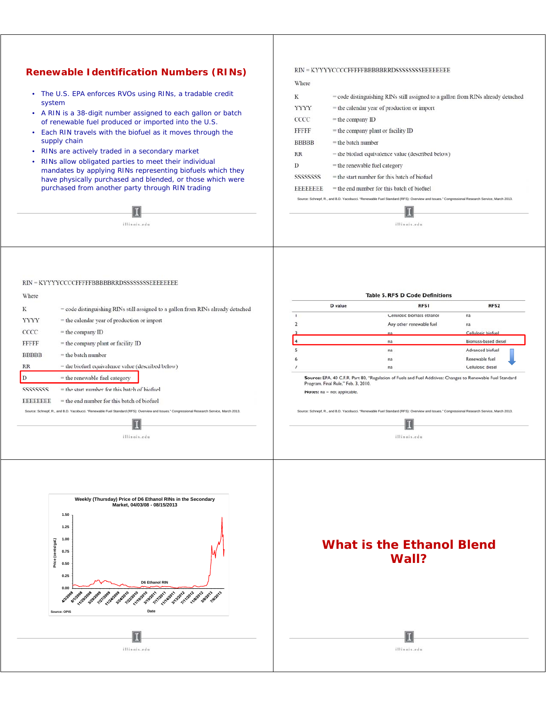### *Renewable Identification Numbers (RINs)*

- The U.S. EPA enforces RVOs using RINs, a tradable credit system
- A RIN is a 38-digit number assigned to each gallon or batch of renewable fuel produced or imported into the U.S.
- Each RIN travels with the biofuel as it moves through the supply chain
- RINs are actively traded in a secondary market
- RINs allow obligated parties to meet their individual mandates by applying RINs representing biofuels which they have physically purchased and blended, or those which were purchased from another party through RIN trading

П illinois.edu

#### $RIN = KYYYYCCCCFFFFFBBBBBRRDSSSSSSSEEEEEEEE$

#### Where

| K               | $=$ code distinguishing RINs still assigned to a gallon from RINs already detached |
|-----------------|------------------------------------------------------------------------------------|
| <b>YYYY</b>     | $=$ the calendar vear of production or import                                      |
| CCCC            | $=$ the company ID                                                                 |
| <b>FFFFF</b>    | $=$ the company plant or facility ID                                               |
| <b>BBBBB</b>    | $=$ the batch number                                                               |
| <b>RR</b>       | = the biofuel equivalence value (described below)                                  |
| D               | $=$ the renewable fuel category                                                    |
| SSSSSSSSS       | $=$ the start number for this batch of biofuel                                     |
| <b>BBBBBBBB</b> | $=$ the end number for this batch of biofuel                                       |
|                 |                                                                                    |

Source: Schnepf, R., and B.D. Yacobucci. "Renewable Fuel Standard (RFS): Overview and Issues." Congressional Research Service, March 2013. П illinois.edu

#### $RIN = KYYYYCCCCFFFFFBBBBBRRDSSSSSSSSEEEEEEEE$

| Where           |                                                                                                                                            |                                     | <b>Table 5. RFS D Code Definitions</b>                                                                                                     |                      |
|-----------------|--------------------------------------------------------------------------------------------------------------------------------------------|-------------------------------------|--------------------------------------------------------------------------------------------------------------------------------------------|----------------------|
| K               | $=$ code distinguishing RINs still assigned to a gallon from RINs already detached                                                         | D value                             | <b>RFS1</b>                                                                                                                                | RFS <sub>2</sub>     |
|                 |                                                                                                                                            |                                     | Cellulosic biomass ethanol                                                                                                                 | na                   |
| <b>YYYY</b>     | $=$ the calendar year of production or import                                                                                              |                                     | Any other renewable fuel                                                                                                                   | na                   |
| CCCC            | $=$ the company ID                                                                                                                         |                                     | na                                                                                                                                         | Cellulosic biofuel   |
| <b>FFFFF</b>    | $=$ the company plant or facility ID                                                                                                       |                                     | na                                                                                                                                         | Biomass-based diesel |
| <b>BBBBB</b>    | $=$ the batch number                                                                                                                       |                                     | na                                                                                                                                         | Advanced biofuel     |
|                 |                                                                                                                                            |                                     | na                                                                                                                                         | Renewable fuel       |
| <b>RR</b>       | = the biofuel equivalence value (described below)                                                                                          |                                     | na                                                                                                                                         | Cellulosic diesel    |
|                 | $=$ the renewable fuel category                                                                                                            | Program, Final Rule." Feb. 3, 2010. | Source: EPA, 40 C.F.R. Part 80, "Regulation of Fuels and Fuel Additives: Changes to Renewable Fuel Standard                                |                      |
| SSSSSSSSS       | $=$ the start number for this batch of biofuel                                                                                             | Notes: $na = not applicable.$       |                                                                                                                                            |                      |
| <b>EBBBBBEE</b> | $=$ the end number for this batch of biofuel                                                                                               |                                     |                                                                                                                                            |                      |
|                 | Source: Schnepf, R., and B.D. Yacobucci. "Renewable Fuel Standard (RFS): Overview and Issues." Congressional Research Service, March 2013. |                                     | Source: Schnepf, R., and B.D. Yacobucci. "Renewable Fuel Standard (RFS): Overview and Issues." Congressional Research Service, March 2013. |                      |
|                 |                                                                                                                                            |                                     |                                                                                                                                            |                      |
|                 | illinois.edu                                                                                                                               |                                     | illinois.edu                                                                                                                               |                      |
|                 |                                                                                                                                            |                                     |                                                                                                                                            |                      |
|                 |                                                                                                                                            |                                     |                                                                                                                                            |                      |
|                 |                                                                                                                                            |                                     |                                                                                                                                            |                      |



illinois.edu

# *What is the Ethanol Blend Wall?*

# П

illinois.edu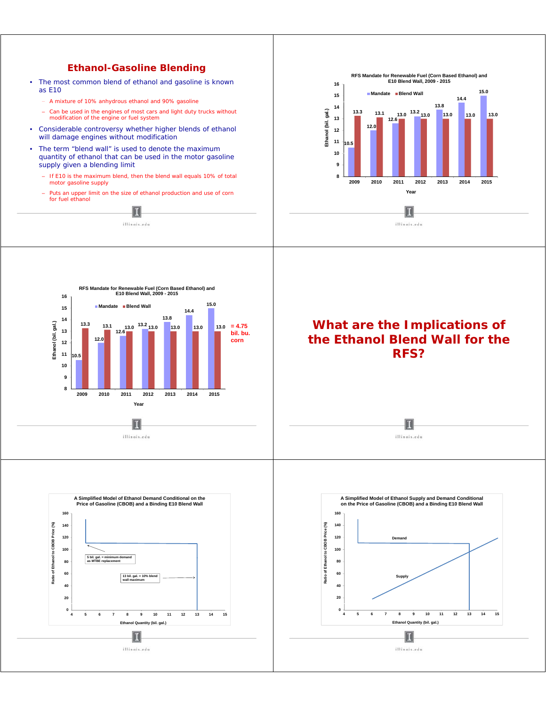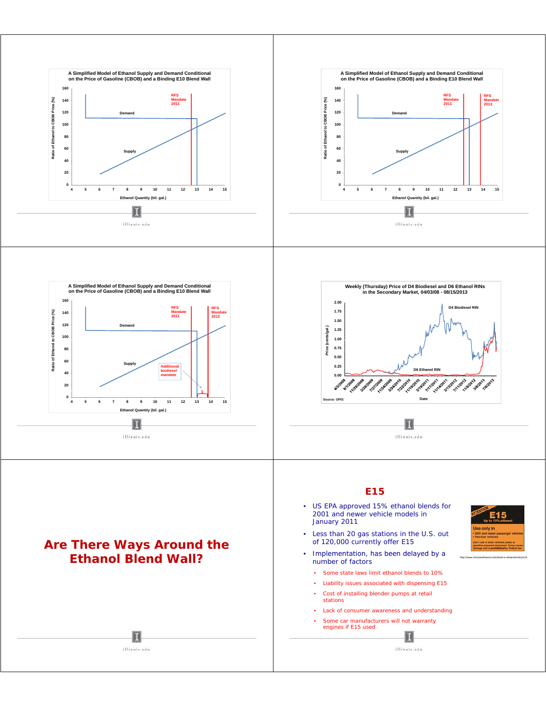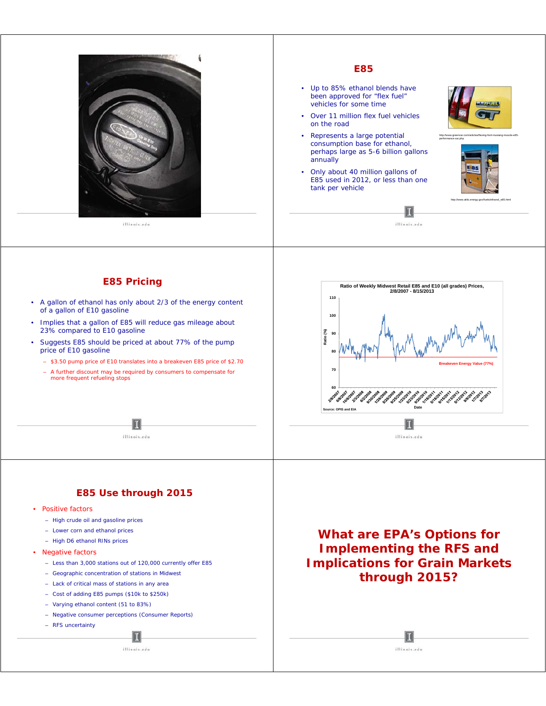

illinois.edu

#### *E85*

- Up to 85% ethanol blends have been approved for "flex fuel" vehicles for some time
- Over 11 million flex fuel vehicles on the road
- Represents a large potential consumption base for ethanol, perhaps large as 5-6 billion gallons <sup>5</sup> 6 annually
- Only about 40 million gallons of E85 used in 2012, or less than one tank per vehicle





http://www.afdc.energy.gov/fuels/ethanol\_e85.html

http://www.greencar.com/articles/flexing-ford-mustang-muscle-e85-

П illinois.edu

### *E85 Pricing*

- A gallon of ethanol has only about 2/3 of the energy content of a gallon of E10 gasoline
- Implies that a gallon of E85 will reduce gas mileage about 23% compared to E10 gasoline
- Suggests E85 should be priced at about 77% of the pump price of E10 gasoline
	- \$3.50 pump price of E10 translates into a breakeven E85 price of \$2.70
	- A further discount may be required by consumers to compensate for more frequent refueling stops

П

illinois.edu



illinois.edu

### *E85 Use through 2015*

- Positive factors
	- High crude oil and gasoline prices
	- Lower corn and ethanol prices
	- High D6 ethanol RINs prices
- Negative factors
	- Less than 3,000 stations out of 120,000 currently offer E85
	- Geographic concentration of stations in Midwest
	- Lack of critical mass of stations in any area
	- Cost of adding E85 pumps (\$10k to \$250k)
	- Varying ethanol content (51 to 83%)
	- Negative consumer perceptions (Consumer Reports)
	- RFS uncertainty

 $\mathbf{I}$ illinois.edu

*What are EPA's Options for Implementing the RFS and Implications for Grain Markets through 2015?*

> П illinois.edu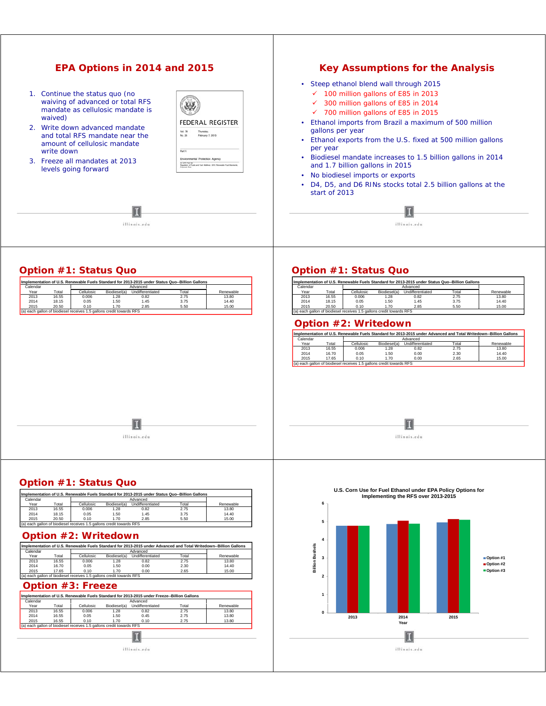| EPA Options in 2014 and 2015                                                                                                                                                                                                                                                               |                                                                                                                                                                                                   | <b>Key Assumptions for the Analysis</b>                                                                                                                                                                                                                                                                                                                                                                                                                                                                                                                                              |
|--------------------------------------------------------------------------------------------------------------------------------------------------------------------------------------------------------------------------------------------------------------------------------------------|---------------------------------------------------------------------------------------------------------------------------------------------------------------------------------------------------|--------------------------------------------------------------------------------------------------------------------------------------------------------------------------------------------------------------------------------------------------------------------------------------------------------------------------------------------------------------------------------------------------------------------------------------------------------------------------------------------------------------------------------------------------------------------------------------|
| 1. Continue the status quo (no<br>waiving of advanced or total RFS<br>mandate as cellulosic mandate is<br>waived)<br>Write down advanced mandate<br>and total RFS mandate near the<br>amount of cellulosic mandate<br>write down<br>3. Freeze all mandates at 2013<br>levels going forward | <b>FEDERAL REGISTER</b><br>Vol. 78<br>Thursday<br>February 7, 2013<br>No. 26<br>Part V<br>Environmental Protection Agency<br>Regulator of Furis and Furi Addition: 2013 Revealers Furi Stanlards. | • Steep ethanol blend wall through 2015<br>$\checkmark$ 100 million gallons of E85 in 2013<br>300 million gallons of E85 in 2014<br>✓<br>$\checkmark$ 700 million gallons of E85 in 2015<br>Ethanol imports from Brazil a maximum of 500 million<br>gallons per year<br>Ethanol exports from the U.S. fixed at 500 million gallons<br>per year<br>Biodiesel mandate increases to 1.5 billion gallons in 2014<br>$\bullet$<br>and 1.7 billion gallons in 2015<br>No biodiesel imports or exports<br>٠<br>D4, D5, and D6 RINs stocks total 2.5 billion gallons at the<br>start of 2013 |
| illinois.edu                                                                                                                                                                                                                                                                               |                                                                                                                                                                                                   | illinois.edu                                                                                                                                                                                                                                                                                                                                                                                                                                                                                                                                                                         |
| 0.44.04.04.04.000                                                                                                                                                                                                                                                                          |                                                                                                                                                                                                   | $0.41224 \pm 0.0121122 \pm 0.022$                                                                                                                                                                                                                                                                                                                                                                                                                                                                                                                                                    |

|          |       |                                                                      |              | Implementation of U.S. Renewable Fuels Standard for 2013-2015 under Status Quo--Billion Gallons |       |           |
|----------|-------|----------------------------------------------------------------------|--------------|-------------------------------------------------------------------------------------------------|-------|-----------|
| Calendar |       |                                                                      |              | Advanced                                                                                        |       |           |
| Year     | Total | Cellulosic                                                           | Biodiesel(a) | Undifferentiated                                                                                | Total | Renewable |
| 2013     | 16.55 | 0.006                                                                | 1.28         | 0.82                                                                                            | 2.75  | 13.80     |
| 2014     | 18.15 | 0.05                                                                 | 1.50         | 1.45                                                                                            | 3.75  | 14.40     |
| 2015     | 20.50 | 0.10                                                                 | 1.70         | 2.85                                                                                            | 5.50  | 15.00     |
|          |       | (a) each gallon of biodiesel receives 1.5 gallons credit towards RFS |              |                                                                                                 |       |           |

## *Option #1: Status Quo*

| Calendar |       |            |              | Implementation of U.S. Renewable Fuels Standard for 2013-2015 under Status Quo--Billion Gallons<br>Advanced |       |           |
|----------|-------|------------|--------------|-------------------------------------------------------------------------------------------------------------|-------|-----------|
| Year     | Total | Cellulosic | Biodiesel(a) | Undifferentiated                                                                                            | Total | Renewable |
| 2013     | 16.55 | 0.006      | 1.28         | 0.82                                                                                                        | 2.75  | 13.80     |
| 2014     | 18.15 | 0.05       | 1.50         | 1.45                                                                                                        | 3.75  | 14.40     |
| 2015     | 20.50 | 0.10       | 1.70         | 2.85                                                                                                        | 5.50  | 15.00     |

### *Option #2: Writedown*

|          |       |            |              |                  |       | Implementation of U.S. Renewable Fuels Standard for 2013-2015 under Advanced and Total Writedown--Billion Gallons |
|----------|-------|------------|--------------|------------------|-------|-------------------------------------------------------------------------------------------------------------------|
| Calendar |       |            |              | Advanced         |       |                                                                                                                   |
| Year     | Total | Cellulosic | Biodiesel(a) | Undifferentiated | Total | Renewable                                                                                                         |
| 2013     | 16.55 | 0.006      | .28          | 0.82             | 2.75  | 13.80                                                                                                             |
| 2014     | 16.70 | 0.05       | 1.50         | 0.00             | 2.30  | 14.40                                                                                                             |
| 2015     | 17.65 | 0.10       | 1.70         | 0.00             | 2.65  | 15.00                                                                                                             |

 $\blacksquare$ 

illinois.edu



*Option #1: Status Quo*

|          |       |                                                                      |              | Implementation of U.S. Renewable Fuels Standard for 2013-2015 under Status Quo--Billion Gallons |       |           |
|----------|-------|----------------------------------------------------------------------|--------------|-------------------------------------------------------------------------------------------------|-------|-----------|
| Calendar |       |                                                                      |              | Advanced                                                                                        |       |           |
| Year     | Total | Cellulosic                                                           | Biodiesel(a) | Undifferentiated                                                                                | Total | Renewable |
| 2013     | 16.55 | 0.006                                                                | 1.28         | 0.82                                                                                            | 2.75  | 13.80     |
| 2014     | 18.15 | 0.05                                                                 | 1.50         | 1.45                                                                                            | 3.75  | 14.40     |
| 2015     | 20.50 | 0.10                                                                 | 1.70         | 2.85                                                                                            | 5.50  | 15.00     |
|          |       | (a) each gallon of biodiesel receives 1.5 gallons credit towards RFS |              |                                                                                                 |       |           |

## *Option #2: Writedown*

|          |       |                                                                      |              |                  | Implementation of U.S. Renewable Fuels Standard for 2013-2015 under Advanced and Total Writedown--Billion Gallons |           |
|----------|-------|----------------------------------------------------------------------|--------------|------------------|-------------------------------------------------------------------------------------------------------------------|-----------|
| Calendar |       |                                                                      |              | Advanced         |                                                                                                                   |           |
| Year     | Total | Cellulosic                                                           | Biodiesel(a) | Undifferentiated | Total                                                                                                             | Renewable |
| 2013     | 16.55 | 0.006                                                                | 1.28         | 0.82             | 2.75                                                                                                              | 13.80     |
| 2014     | 16.70 | 0.05                                                                 | 1.50         | 0.00             | 2.30                                                                                                              | 14.40     |
| 2015     | 17.65 | 0.10                                                                 | 1.70         | 0.00             | 2.65                                                                                                              | 15.00     |
|          |       | (a) each gallon of biodiesel receives 1.5 gallons credit towards RFS |              |                  |                                                                                                                   |           |

## *Option #3: Freeze*

| Calendar |       |                                                                      |              | Advanced         |       |           |
|----------|-------|----------------------------------------------------------------------|--------------|------------------|-------|-----------|
| Year     | Total | Cellulosic                                                           | Biodiesel(a) | Undifferentiated | Total | Renewable |
| 2013     | 16.55 | 0.006                                                                | 1.28         | 0.82             | 2.75  | 13.80     |
| 2014     | 16.55 | 0.05                                                                 | 1.50         | 0.45             | 2.75  | 13.80     |
| 2015     | 16.55 | 0.10                                                                 | 1.70         | 0.10             | 2.75  | 13.80     |
|          |       | (a) each gallon of biodiesel receives 1.5 gallons credit towards RFS |              |                  |       |           |
|          |       |                                                                      |              |                  |       |           |

 $\,$ illinois.edu